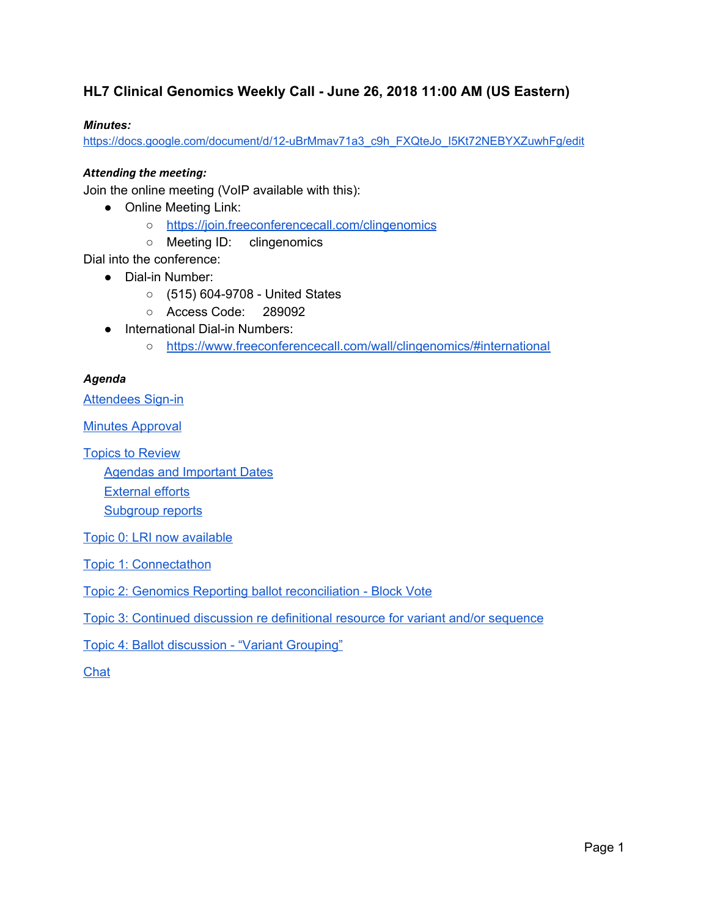### **HL7 Clinical Genomics Weekly Call - June 26, 2018 11:00 AM (US Eastern)**

#### *Minutes:*

[https://docs.google.com/document/d/12-uBrMmav71a3\\_c9h\\_FXQteJo\\_I5Kt72NEBYXZuwhFg/edit](https://docs.google.com/document/d/12-uBrMmav71a3_c9h_FXQteJo_I5Kt72NEBYXZuwhFg/edit)

#### *Attending the meeting:*

Join the online meeting (VoIP available with this):

- Online Meeting Link:
	- <https://join.freeconferencecall.com/clingenomics>
	- Meeting ID: clingenomics

Dial into the conference:

- Dial-in Number:
	- (515) 604-9708 United States
	- Access Code: 289092
- International Dial-in Numbers:
	- <https://www.freeconferencecall.com/wall/clingenomics/#international>

#### *Agenda*

[Attendees](#page-1-0) Sign-in

**Minutes [Approval](#page-2-0)** 

Topics to [Review](#page-2-1) Agendas and [Important](#page-2-2) Dates [External](#page-4-0) efforts [Subgroup](#page-4-1) reports

Topic 0: LRI now [available](#page-4-2)

Topic 1: [Connectathon](#page-5-0)

Topic 2: Genomics Reporting ballot [reconciliation](#page-7-0) - Block Vote

Topic 3: Continued discussion re [definitional](#page-9-0) resource for variant and/or sequence

Topic 4: Ballot [discussion](#page-9-1) - "Variant Grouping"

**[Chat](#page-11-0)**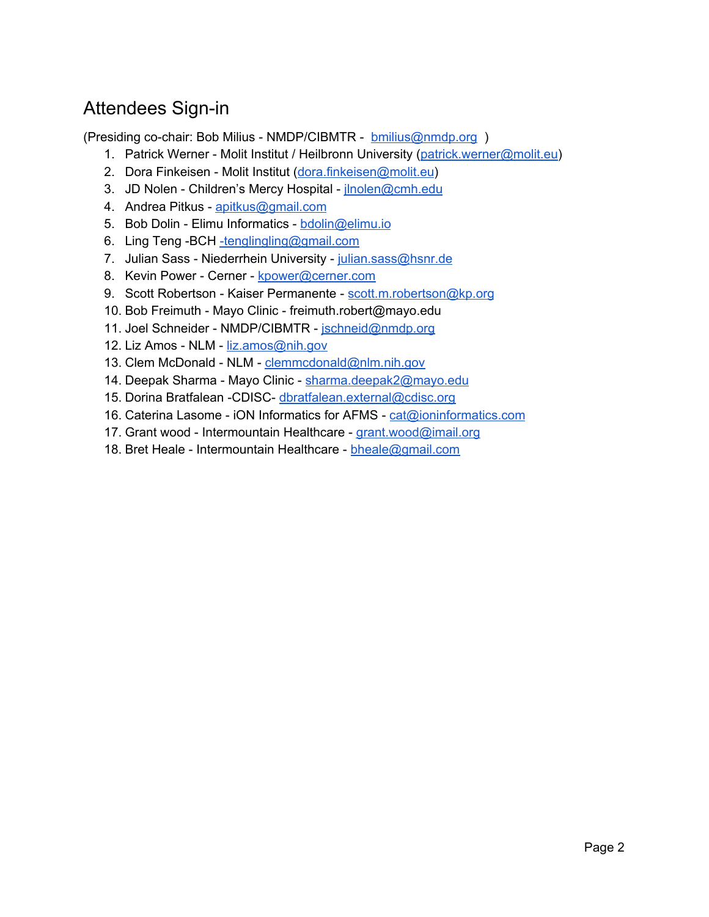# <span id="page-1-0"></span>Attendees Sign-in

(Presiding co-chair: Bob Milius - NMDP/CIBMTR - [bmilius@nmdp.org](mailto:bmilius@nmdp.org) )

- 1. Patrick Werner Molit Institut / Heilbronn University [\(patrick.werner@molit.eu](mailto:patrick.werner@molit.eu))
- 2. Dora Finkeisen Molit Institut [\(dora.finkeisen@molit.eu](mailto:dora.finkeisen@molit.eu))
- 3. JD Nolen Children's Mercy Hospital jnolen@cmh.edu
- 4. Andrea Pitkus [apitkus@gmail.com](mailto:apitkus@gmail.com)
- 5. Bob Dolin Elimu Informatics [bdolin@elimu.io](mailto:bdolin@elimu.io)
- 6. Ling Teng -BCH [-tenglingling@gmail.com](mailto:-tenglingling@gmail.com)
- 7. Julian Sass Niederrhein University [julian.sass@hsnr.de](mailto:julian.sass@hsnr.de)
- 8. Kevin Power Cerner [kpower@cerner.com](mailto:kpower@cerner.com)
- 9. Scott Robertson Kaiser Permanente [scott.m.robertson@kp.org](mailto:scott.m.robertson@kp.org)
- 10. Bob Freimuth Mayo Clinic freimuth.robert@mayo.edu
- 11. Joel Schneider NMDP/CIBMTR [jschneid@nmdp.org](mailto:jschneid@nmdp.org)
- 12. Liz Amos NLM [liz.amos@nih.gov](mailto:liz.amos@nih.gov)
- 13. Clem McDonald NLM [clemmcdonald@nlm.nih.gov](mailto:clemmcdonald@nlm.nih.gov)
- 14. Deepak Sharma Mayo Clinic [sharma.deepak2@mayo.edu](mailto:sharma.deepak2@mayo.edu)
- 15. Dorina Bratfalean -CDISC- [dbratfalean.external@cdisc.org](mailto:dbratfalean.external@cdisc.org)
- 16. Caterina Lasome iON Informatics for AFMS [cat@ioninformatics.com](mailto:cat@ioninformatics.com)
- 17. Grant wood Intermountain Healthcare [grant.wood@imail.org](mailto:grant.wood@imail.org)
- 18. Bret Heale Intermountain Healthcare [bheale@gmail.com](mailto:bheale@gmail.com)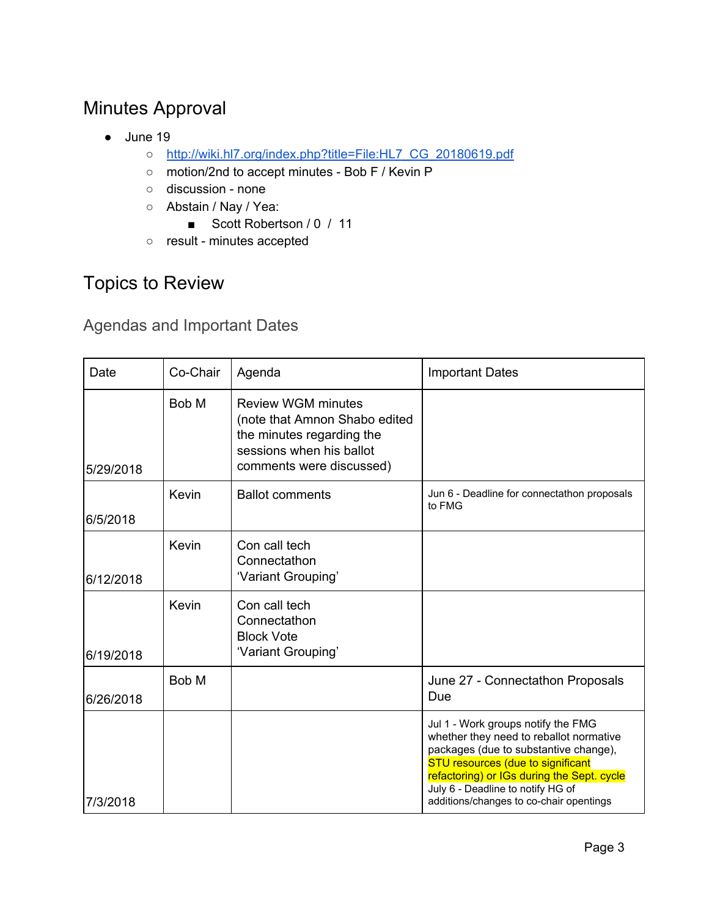# <span id="page-2-0"></span>Minutes Approval

- June 19
	- [http://wiki.hl7.org/index.php?title=File:HL7\\_CG\\_20180619.pdf](http://wiki.hl7.org/index.php?title=File:HL7_CG_20180619.pdf)
	- motion/2nd to accept minutes Bob F / Kevin P
	- discussion none
	- Abstain / Nay / Yea:
		- Scott Robertson / 0 / 11
	- result minutes accepted

## <span id="page-2-1"></span>Topics to Review

<span id="page-2-2"></span>Agendas and Important Dates

| Date      | Co-Chair | Agenda                                                                                                                                          | <b>Important Dates</b>                                                                                                                                                                                                                                                                           |
|-----------|----------|-------------------------------------------------------------------------------------------------------------------------------------------------|--------------------------------------------------------------------------------------------------------------------------------------------------------------------------------------------------------------------------------------------------------------------------------------------------|
| 5/29/2018 | Bob M    | <b>Review WGM minutes</b><br>(note that Amnon Shabo edited<br>the minutes regarding the<br>sessions when his ballot<br>comments were discussed) |                                                                                                                                                                                                                                                                                                  |
| 6/5/2018  | Kevin    | <b>Ballot comments</b>                                                                                                                          | Jun 6 - Deadline for connectathon proposals<br>to FMG                                                                                                                                                                                                                                            |
| 6/12/2018 | Kevin    | Con call tech<br>Connectathon<br>'Variant Grouping'                                                                                             |                                                                                                                                                                                                                                                                                                  |
| 6/19/2018 | Kevin    | Con call tech<br>Connectathon<br><b>Block Vote</b><br>'Variant Grouping'                                                                        |                                                                                                                                                                                                                                                                                                  |
| 6/26/2018 | Bob M    |                                                                                                                                                 | June 27 - Connectathon Proposals<br>Due                                                                                                                                                                                                                                                          |
| 7/3/2018  |          |                                                                                                                                                 | Jul 1 - Work groups notify the FMG<br>whether they need to reballot normative<br>packages (due to substantive change),<br><b>STU resources (due to significant</b><br>refactoring) or IGs during the Sept. cycle<br>July 6 - Deadline to notify HG of<br>additions/changes to co-chair opentings |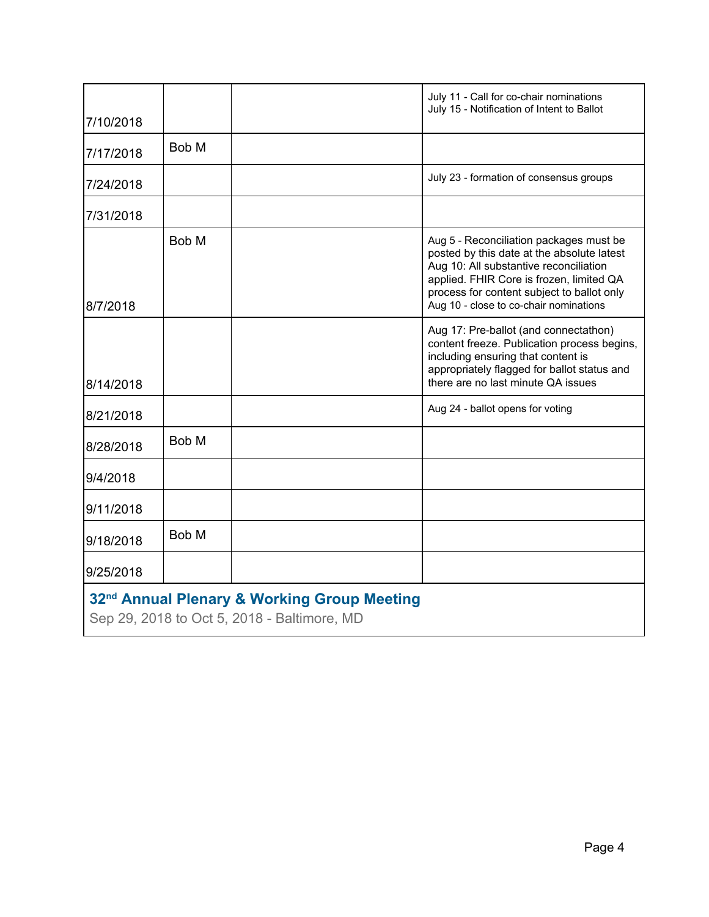|                                                                                                        |       |  | July 11 - Call for co-chair nominations<br>July 15 - Notification of Intent to Ballot                                                                                                                                                                               |
|--------------------------------------------------------------------------------------------------------|-------|--|---------------------------------------------------------------------------------------------------------------------------------------------------------------------------------------------------------------------------------------------------------------------|
| 7/10/2018                                                                                              |       |  |                                                                                                                                                                                                                                                                     |
| 7/17/2018                                                                                              | Bob M |  |                                                                                                                                                                                                                                                                     |
| 7/24/2018                                                                                              |       |  | July 23 - formation of consensus groups                                                                                                                                                                                                                             |
| 7/31/2018                                                                                              |       |  |                                                                                                                                                                                                                                                                     |
| 8/7/2018                                                                                               | Bob M |  | Aug 5 - Reconciliation packages must be<br>posted by this date at the absolute latest<br>Aug 10: All substantive reconciliation<br>applied. FHIR Core is frozen, limited QA<br>process for content subject to ballot only<br>Aug 10 - close to co-chair nominations |
| 8/14/2018                                                                                              |       |  | Aug 17: Pre-ballot (and connectathon)<br>content freeze. Publication process begins,<br>including ensuring that content is<br>appropriately flagged for ballot status and<br>there are no last minute QA issues                                                     |
| 8/21/2018                                                                                              |       |  | Aug 24 - ballot opens for voting                                                                                                                                                                                                                                    |
| 8/28/2018                                                                                              | Bob M |  |                                                                                                                                                                                                                                                                     |
| 9/4/2018                                                                                               |       |  |                                                                                                                                                                                                                                                                     |
| 9/11/2018                                                                                              |       |  |                                                                                                                                                                                                                                                                     |
| 9/18/2018                                                                                              | Bob M |  |                                                                                                                                                                                                                                                                     |
| 9/25/2018                                                                                              |       |  |                                                                                                                                                                                                                                                                     |
| 32 <sup>nd</sup> Annual Plenary & Working Group Meeting<br>Sep 29, 2018 to Oct 5, 2018 - Baltimore, MD |       |  |                                                                                                                                                                                                                                                                     |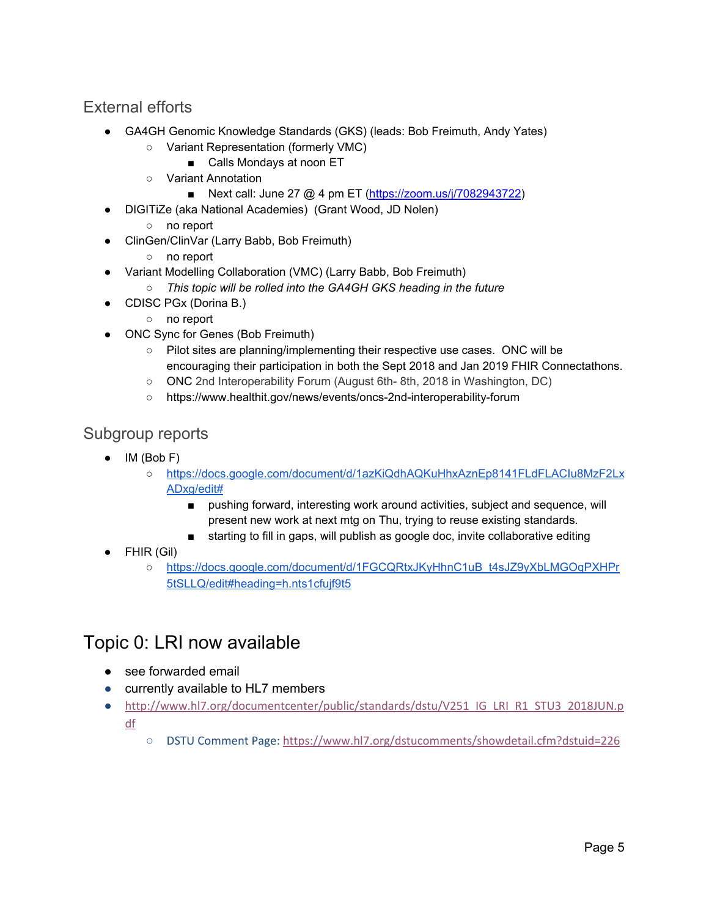### <span id="page-4-0"></span>External efforts

- GA4GH Genomic Knowledge Standards (GKS) (leads: Bob Freimuth, Andy Yates)
	- Variant Representation (formerly VMC)
		- Calls Mondays at noon ET
	- Variant Annotation
		- Next call: June 27 @ 4 pm ET [\(https://zoom.us/j/7082943722](https://zoom.us/j/7082943722))
- DIGITiZe (aka National Academies) (Grant Wood, JD Nolen)
	- no report
- ClinGen/ClinVar (Larry Babb, Bob Freimuth)
	- no report
- Variant Modelling Collaboration (VMC) (Larry Babb, Bob Freimuth)
	- *○ This topic will be rolled into the GA4GH GKS heading in the future*
	- CDISC PGx (Dorina B.)
		- no report
- ONC Sync for Genes (Bob Freimuth)
	- Pilot sites are planning/implementing their respective use cases. ONC will be encouraging their participation in both the Sept 2018 and Jan 2019 FHIR Connectathons.
	- ONC 2nd Interoperability Forum (August 6th- 8th, 2018 in Washington, DC)
	- https://www.healthit.gov/news/events/oncs-2nd-interoperability-forum

### <span id="page-4-1"></span>Subgroup reports

- IM (Bob F)
	- [https://docs.google.com/document/d/1azKiQdhAQKuHhxAznEp8141FLdFLACIu8MzF2Lx](https://docs.google.com/document/d/1azKiQdhAQKuHhxAznEp8141FLdFLACIu8MzF2LxADxg/edit#) [ADxg/edit#](https://docs.google.com/document/d/1azKiQdhAQKuHhxAznEp8141FLdFLACIu8MzF2LxADxg/edit#)
		- pushing forward, interesting work around activities, subject and sequence, will present new work at next mtg on Thu, trying to reuse existing standards.
		- starting to fill in gaps, will publish as google doc, invite collaborative editing
- FHIR (Gil)
	- o [https://docs.google.com/document/d/1FGCQRtxJKyHhnC1uB\\_t4sJZ9yXbLMGOqPXHPr](https://docs.google.com/document/d/1FGCQRtxJKyHhnC1uB_t4sJZ9yXbLMGOqPXHPr5tSLLQ/edit#heading=h.nts1cfujf9t5) [5tSLLQ/edit#heading=h.nts1cfujf9t5](https://docs.google.com/document/d/1FGCQRtxJKyHhnC1uB_t4sJZ9yXbLMGOqPXHPr5tSLLQ/edit#heading=h.nts1cfujf9t5)

### <span id="page-4-2"></span>Topic 0: LRI now available

- see forwarded email
- currently available to HL7 members
- [http://www.hl7.org/documentcenter/public/standards/dstu/V251\\_IG\\_LRI\\_R1\\_STU3\\_2018JUN.p](https://urldefense.proofpoint.com/v2/url?u=https-3A__na01.safelinks.protection.outlook.com_-3Furl-3Dhttp-253A-252F-252Fwww.hl7.org-252Fdocumentcenter-252Fpublic-252Fstandards-252Fdstu-252FV251-5FIG-5FLRI-5FR1-5FSTU3-5F2018JUN.pdf-26data-3D02-257C01-257CHans.Buitendijk-2540cerner.com-257C3ae429cffa7c43cf03e908d5d84c2f1d-257Cfbc493a80d244454a815f4ca58e8c09d-257C0-257C0-257C636652744098590487-26sdata-3DLG0R1hdjwLCTs2T0CpbnFwo2SstyuPI2iTGLqUxTsEQ-253D-26reserved-3D0&d=DwMGaQ&c=C_O335FEx-vf3XHLXGN8TO1BAxpi8-UjLCbu_DQ0pZI&r=ryg_9rF5dRVeoA6Q9Ubodw&m=7PqJ6tsmtgEg787wxW1vioTi2_YiSO_JT5S8W1ZYeRo&s=sYjytzmBf95UwO3L9XuiXCidm9NSeB5zRI4stOKUdXs&e=) [df](https://urldefense.proofpoint.com/v2/url?u=https-3A__na01.safelinks.protection.outlook.com_-3Furl-3Dhttp-253A-252F-252Fwww.hl7.org-252Fdocumentcenter-252Fpublic-252Fstandards-252Fdstu-252FV251-5FIG-5FLRI-5FR1-5FSTU3-5F2018JUN.pdf-26data-3D02-257C01-257CHans.Buitendijk-2540cerner.com-257C3ae429cffa7c43cf03e908d5d84c2f1d-257Cfbc493a80d244454a815f4ca58e8c09d-257C0-257C0-257C636652744098590487-26sdata-3DLG0R1hdjwLCTs2T0CpbnFwo2SstyuPI2iTGLqUxTsEQ-253D-26reserved-3D0&d=DwMGaQ&c=C_O335FEx-vf3XHLXGN8TO1BAxpi8-UjLCbu_DQ0pZI&r=ryg_9rF5dRVeoA6Q9Ubodw&m=7PqJ6tsmtgEg787wxW1vioTi2_YiSO_JT5S8W1ZYeRo&s=sYjytzmBf95UwO3L9XuiXCidm9NSeB5zRI4stOKUdXs&e=)
	- DSTU Comment Page: [https://www.hl7.org/dstucomments/showdetail.cfm?dstuid=226](https://urldefense.proofpoint.com/v2/url?u=https-3A__na01.safelinks.protection.outlook.com_-3Furl-3Dhttps-253A-252F-252Fwww.hl7.org-252Fdstucomments-252Fshowdetail.cfm-253Fdstuid-253D226-26data-3D02-257C01-257CKevin.Power-2540cerner.com-257Ceed02dc0d7164bcfc0b108d5dadb5843-257Cfbc493a80d244454a815f4ca58e8c09d-257C0-257C0-257C636655558006668989-26sdata-3D9YYkoJFcUeNReRpccsODQX40TrwGOW2dUvHK1tIk8ug-253D-26reserved-3D0&d=DwMGaQ&c=C_O335FEx-vf3XHLXGN8TO1BAxpi8-UjLCbu_DQ0pZI&r=ryg_9rF5dRVeoA6Q9Ubodw&m=7PqJ6tsmtgEg787wxW1vioTi2_YiSO_JT5S8W1ZYeRo&s=ZYfEMjbzqxmxm332kFBfEBqiC8ztAC2qWBVp6Du0E3s&e=)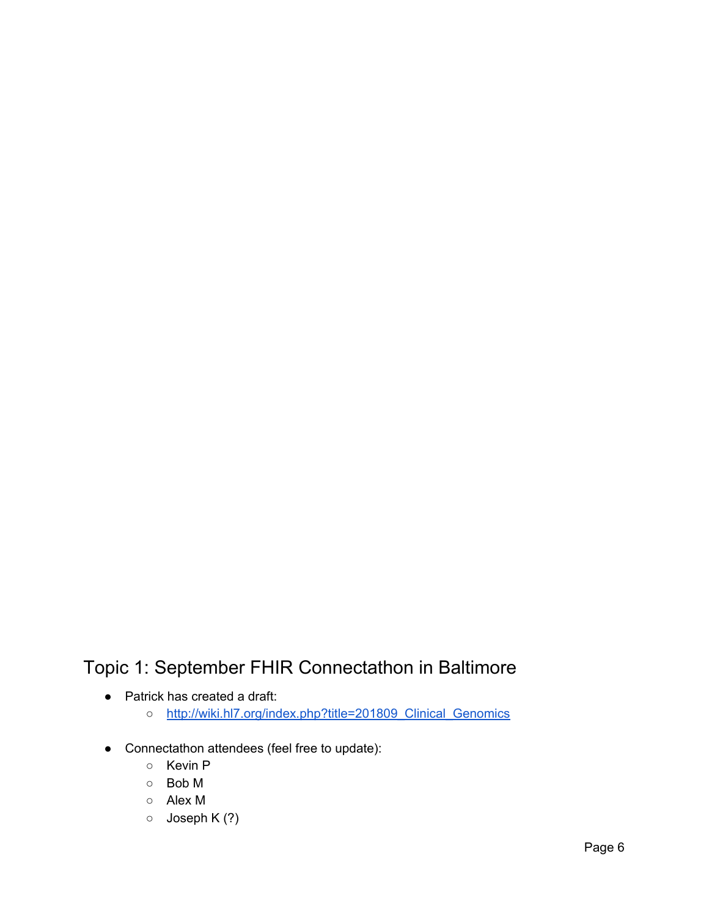# <span id="page-5-0"></span>Topic 1: September FHIR Connectathon in Baltimore

- Patrick has created a draft:
	- [http://wiki.hl7.org/index.php?title=201809\\_Clinical\\_Genomics](http://wiki.hl7.org/index.php?title=201809_Clinical_Genomics)
- Connectathon attendees (feel free to update):
	- Kevin P
	- Bob M
	- Alex M
	- Joseph K (?)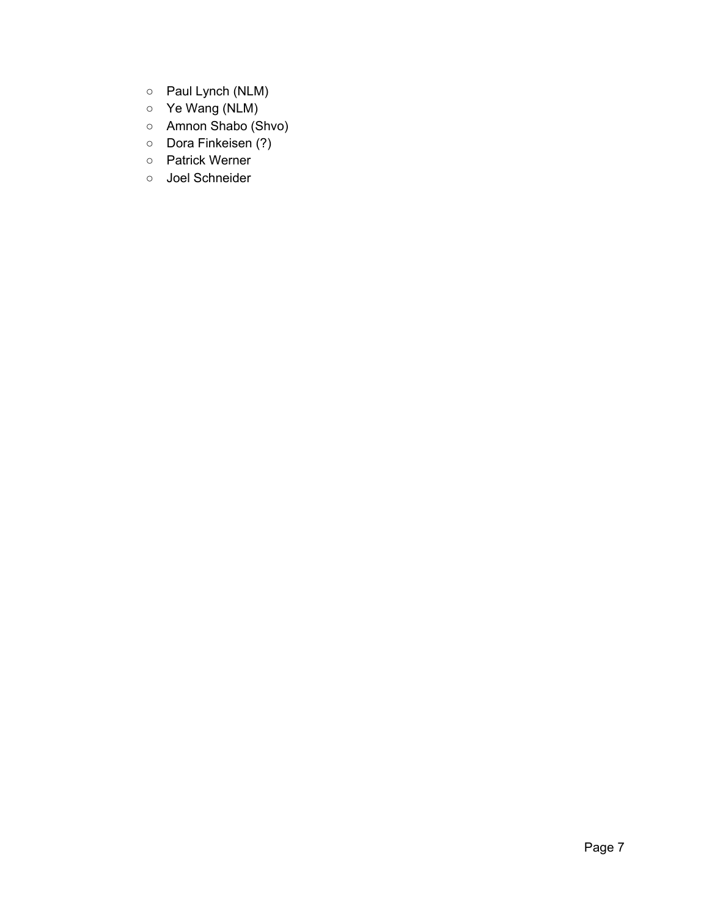- Paul Lynch (NLM)
- Ye Wang (NLM)
- Amnon Shabo (Shvo)
- Dora Finkeisen (?)
- Patrick Werner
- Joel Schneider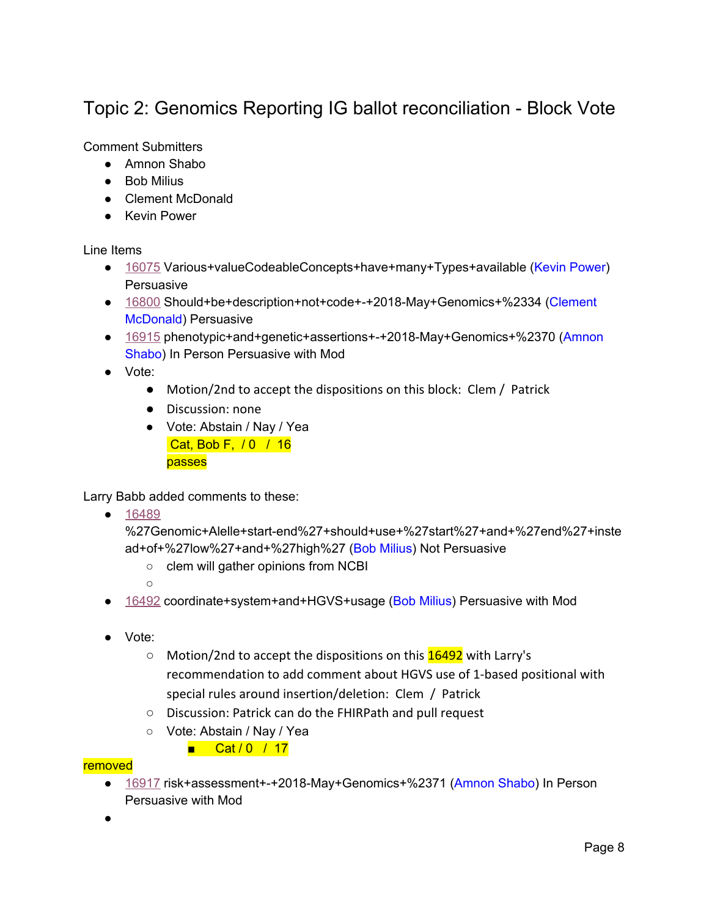# <span id="page-7-0"></span>Topic 2: Genomics Reporting IG ballot reconciliation - Block Vote

### Comment Submitters

- Amnon Shabo
- Bob Milius
- Clement McDonald
- Kevin Power

#### Line Items

- [16075](https://urldefense.proofpoint.com/v2/url?u=https-3A__na01.safelinks.protection.outlook.com_-3Furl-3Dhttp-253A-252F-252Fgforge.hl7.org-252Fgf-252Fproject-252Ffhir-252Ftracker-252F-253Faction-253DTrackerItemEdit-2526tracker-5Fitem-5Fid-253D16075-26data-3D02-257C01-257CKevin.Power-2540cerner.com-257C7602fbe0beb2409c808608d5d60072f7-257Cfbc493a80d244454a815f4ca58e8c09d-257C0-257C0-257C636650219790006312-26sdata-3D9nmoRFfCkpTbJjDe4suIxvG4NsOSwTRc8awTpy-252BldGM-253D-26reserved-3D0&d=DwMGaQ&c=C_O335FEx-vf3XHLXGN8TO1BAxpi8-UjLCbu_DQ0pZI&r=ryg_9rF5dRVeoA6Q9Ubodw&m=C4BL_KBiiW7d9Oj7ikMPGTftC_T5NvHCAvguaX_5AZo&s=3uqiQEXRj9vGZz93pPFdk7dJU-2C8KnlDCsCu2PF6I8&e=) Various+valueCodeableConcepts+have+many+Types+available (Kevin Power) **Persuasive**
- [16800](https://urldefense.proofpoint.com/v2/url?u=https-3A__na01.safelinks.protection.outlook.com_-3Furl-3Dhttp-253A-252F-252Fgforge.hl7.org-252Fgf-252Fproject-252Ffhir-252Ftracker-252F-253Faction-253DTrackerItemEdit-2526tracker-5Fitem-5Fid-253D16800-26data-3D02-257C01-257CKevin.Power-2540cerner.com-257C7602fbe0beb2409c808608d5d60072f7-257Cfbc493a80d244454a815f4ca58e8c09d-257C0-257C0-257C636650219790006312-26sdata-3Dz2zhbJUVIbR1bCy2YIUNLm-252BStKSwJjmPkvec7WPdOSk-253D-26reserved-3D0&d=DwMGaQ&c=C_O335FEx-vf3XHLXGN8TO1BAxpi8-UjLCbu_DQ0pZI&r=ryg_9rF5dRVeoA6Q9Ubodw&m=C4BL_KBiiW7d9Oj7ikMPGTftC_T5NvHCAvguaX_5AZo&s=hZn6RMZdjGvLPBLsrUS_izeiG3dv-cuMTdLwr3kA788&e=) Should+be+description+not+code+-+2018-May+Genomics+%2334 (Clement McDonald) Persuasive
- [16915](https://urldefense.proofpoint.com/v2/url?u=https-3A__na01.safelinks.protection.outlook.com_-3Furl-3Dhttp-253A-252F-252Fgforge.hl7.org-252Fgf-252Fproject-252Ffhir-252Ftracker-252F-253Faction-253DTrackerItemEdit-2526tracker-5Fitem-5Fid-253D16915-26data-3D02-257C01-257CKevin.Power-2540cerner.com-257C7602fbe0beb2409c808608d5d60072f7-257Cfbc493a80d244454a815f4ca58e8c09d-257C0-257C0-257C636650219790026326-26sdata-3DqFqJmX91rJflOPqppGViZZYlVDgFBMEQ3GqB8QFhKLw-253D-26reserved-3D0&d=DwMGaQ&c=C_O335FEx-vf3XHLXGN8TO1BAxpi8-UjLCbu_DQ0pZI&r=ryg_9rF5dRVeoA6Q9Ubodw&m=C4BL_KBiiW7d9Oj7ikMPGTftC_T5NvHCAvguaX_5AZo&s=CNjMi02i8XWutfv_YXqbmIP0yoDCq5MatLpwZLP2cjE&e=) phenotypic+and+genetic+assertions+-+2018-May+Genomics+%2370 (Amnon Shabo) In Person Persuasive with Mod
- Vote:
	- Motion/2nd to accept the dispositions on this block: Clem / Patrick
	- Discussion: none
	- Vote: Abstain / Nay / Yea Cat, Bob F, / 0 / 16 passes

Larry Babb added comments to these:

● [16489](https://urldefense.proofpoint.com/v2/url?u=https-3A__na01.safelinks.protection.outlook.com_-3Furl-3Dhttp-253A-252F-252Fgforge.hl7.org-252Fgf-252Fproject-252Ffhir-252Ftracker-252F-253Faction-253DTrackerItemEdit-2526tracker-5Fitem-5Fid-253D16489-26data-3D02-257C01-257CKevin.Power-2540cerner.com-257C7602fbe0beb2409c808608d5d60072f7-257Cfbc493a80d244454a815f4ca58e8c09d-257C0-257C0-257C636650219789996308-26sdata-3D3CqS8dHCS122HWVl1wtZ8T57223ZiIFph-252BWhqYr16-252FM-253D-26reserved-3D0&d=DwMGaQ&c=C_O335FEx-vf3XHLXGN8TO1BAxpi8-UjLCbu_DQ0pZI&r=ryg_9rF5dRVeoA6Q9Ubodw&m=C4BL_KBiiW7d9Oj7ikMPGTftC_T5NvHCAvguaX_5AZo&s=6hFLYA7Z5qX5z9q-A_BFh8GRS7jYigVTaZhXr3UZp8w&e=)

%27Genomic+Alelle+start-end%27+should+use+%27start%27+and+%27end%27+inste ad+of+%27low%27+and+%27high%27 (Bob Milius) Not Persuasive

- clem will gather opinions from NCBI
- $\cap$
- [16492](https://urldefense.proofpoint.com/v2/url?u=https-3A__na01.safelinks.protection.outlook.com_-3Furl-3Dhttp-253A-252F-252Fgforge.hl7.org-252Fgf-252Fproject-252Ffhir-252Ftracker-252F-253Faction-253DTrackerItemEdit-2526tracker-5Fitem-5Fid-253D16492-26data-3D02-257C01-257CKevin.Power-2540cerner.com-257C7602fbe0beb2409c808608d5d60072f7-257Cfbc493a80d244454a815f4ca58e8c09d-257C0-257C0-257C636650219790016322-26sdata-3DcRyVLD0-252FLznyyDugsvzziwpH0dA7rUSKPdyv1HYN12I-253D-26reserved-3D0&d=DwMGaQ&c=C_O335FEx-vf3XHLXGN8TO1BAxpi8-UjLCbu_DQ0pZI&r=ryg_9rF5dRVeoA6Q9Ubodw&m=C4BL_KBiiW7d9Oj7ikMPGTftC_T5NvHCAvguaX_5AZo&s=vpX4LGHUqWFZrm-wBm6s0woRmgcVj9bvgYqO-qoBijs&e=) coordinate+system+and+HGVS+usage (Bob Milius) Persuasive with Mod
- Vote:
	- Motion/2nd to accept the dispositions on this **16492** with Larry's recommendation to add comment about HGVS use of 1-based positional with special rules around insertion/deletion: Clem / Patrick
	- Discussion: Patrick can do the FHIRPath and pull request
	- Vote: Abstain / Nay / Yea
		- Cat / 0 / 17

#### removed

- [16917](https://urldefense.proofpoint.com/v2/url?u=https-3A__na01.safelinks.protection.outlook.com_-3Furl-3Dhttp-253A-252F-252Fgforge.hl7.org-252Fgf-252Fproject-252Ffhir-252Ftracker-252F-253Faction-253DTrackerItemEdit-2526tracker-5Fitem-5Fid-253D16917-26data-3D02-257C01-257CKevin.Power-2540cerner.com-257C7602fbe0beb2409c808608d5d60072f7-257Cfbc493a80d244454a815f4ca58e8c09d-257C0-257C0-257C636650219790026326-26sdata-3DuwLJUxsBJ86KqaGWqsD3teNVYWCEJaM-252BrzHBOhAROwY-253D-26reserved-3D0&d=DwMGaQ&c=C_O335FEx-vf3XHLXGN8TO1BAxpi8-UjLCbu_DQ0pZI&r=ryg_9rF5dRVeoA6Q9Ubodw&m=C4BL_KBiiW7d9Oj7ikMPGTftC_T5NvHCAvguaX_5AZo&s=sjWgs3mNa9bshFVgl3QWg6BGHfUXRxzYwzA2iiQ8pjU&e=) risk+assessment+-+2018-May+Genomics+%2371 (Amnon Shabo) In Person Persuasive with Mod
- ●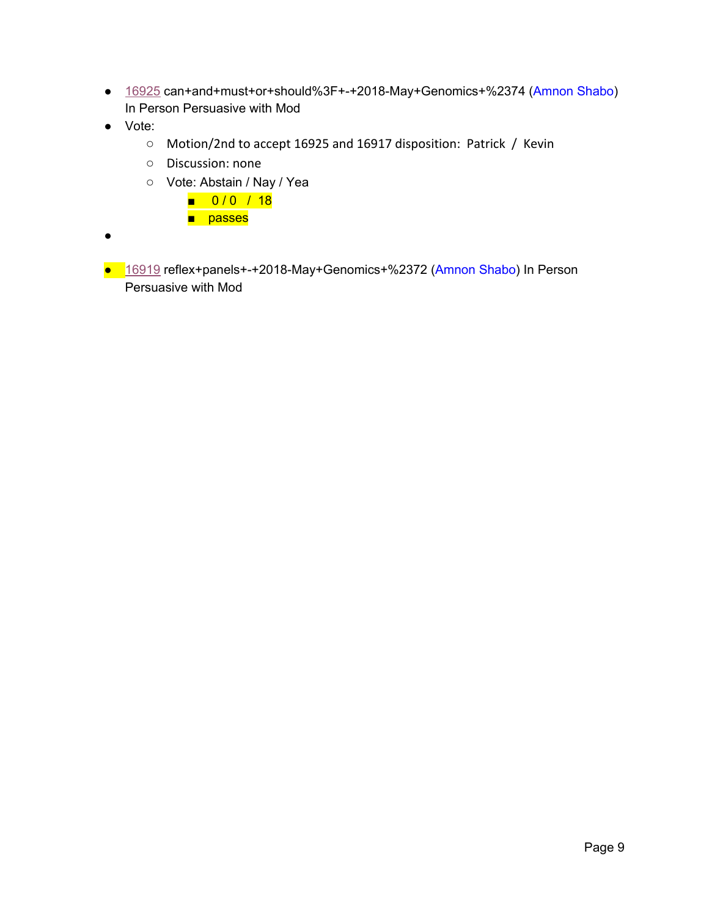- [16925](https://urldefense.proofpoint.com/v2/url?u=https-3A__na01.safelinks.protection.outlook.com_-3Furl-3Dhttp-253A-252F-252Fgforge.hl7.org-252Fgf-252Fproject-252Ffhir-252Ftracker-252F-253Faction-253DTrackerItemEdit-2526tracker-5Fitem-5Fid-253D16925-26data-3D02-257C01-257CKevin.Power-2540cerner.com-257C7602fbe0beb2409c808608d5d60072f7-257Cfbc493a80d244454a815f4ca58e8c09d-257C0-257C0-257C636650219790036336-26sdata-3DGrTuJGL-252FYSXUDLTXIK1h29uIyCL7EBzE9WskgJ64GMo-253D-26reserved-3D0&d=DwMGaQ&c=C_O335FEx-vf3XHLXGN8TO1BAxpi8-UjLCbu_DQ0pZI&r=ryg_9rF5dRVeoA6Q9Ubodw&m=C4BL_KBiiW7d9Oj7ikMPGTftC_T5NvHCAvguaX_5AZo&s=rCXCX1cgcJfaJmICov-ZRSGTwYQACNVyxYHXQHkDxaU&e=) can+and+must+or+should%3F+-+2018-May+Genomics+%2374 (Amnon Shabo) In Person Persuasive with Mod
- Vote:
	- Motion/2nd to accept 16925 and 16917 disposition: Patrick / Kevin
	- Discussion: none
	- Vote: Abstain / Nay / Yea
		- 0/0 / 18
		- passes
- ●
- [16919](https://urldefense.proofpoint.com/v2/url?u=https-3A__na01.safelinks.protection.outlook.com_-3Furl-3Dhttp-253A-252F-252Fgforge.hl7.org-252Fgf-252Fproject-252Ffhir-252Ftracker-252F-253Faction-253DTrackerItemEdit-2526tracker-5Fitem-5Fid-253D16919-26data-3D02-257C01-257CKevin.Power-2540cerner.com-257C7602fbe0beb2409c808608d5d60072f7-257Cfbc493a80d244454a815f4ca58e8c09d-257C0-257C0-257C636650219790036336-26sdata-3Dy0FBbwWKGxRolDkzfTYbHa2uBZChiuuxL7jhABw2Ots-253D-26reserved-3D0&d=DwMGaQ&c=C_O335FEx-vf3XHLXGN8TO1BAxpi8-UjLCbu_DQ0pZI&r=ryg_9rF5dRVeoA6Q9Ubodw&m=C4BL_KBiiW7d9Oj7ikMPGTftC_T5NvHCAvguaX_5AZo&s=5sYt9hXNFq0lZJg1TSxFCAaqXuZwTuS4JsJ0lPkzoho&e=) reflex+panels+-+2018-May+Genomics+%2372 (Amnon Shabo) In Person Persuasive with Mod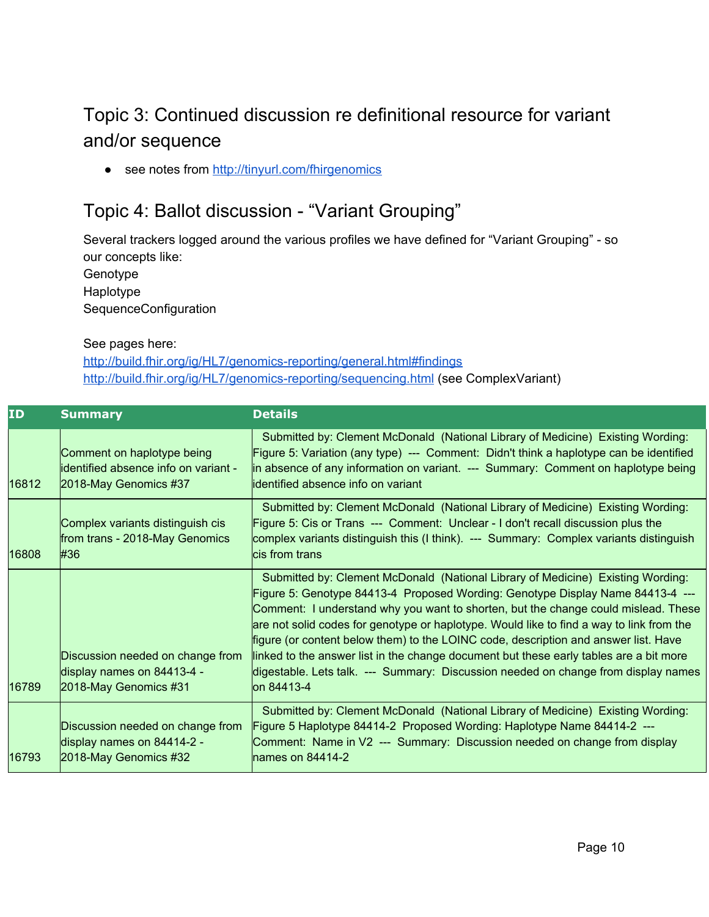# <span id="page-9-0"></span>Topic 3: Continued discussion re definitional resource for variant and/or sequence

● see notes from <http://tinyurl.com/fhirgenomics>

### <span id="page-9-1"></span>Topic 4: Ballot discussion - "Variant Grouping"

Several trackers logged around the various profiles we have defined for "Variant Grouping" - so our concepts like:

Genotype Haplotype SequenceConfiguration

#### See pages here:

<http://build.fhir.org/ig/HL7/genomics-reporting/general.html#findings> <http://build.fhir.org/ig/HL7/genomics-reporting/sequencing.html> (see ComplexVariant)

| ID    | <b>Summary</b>                                                                              | <b>Details</b>                                                                                                                                                                                                                                                                                                                                                                                                                                                                                                                                                                                                                            |
|-------|---------------------------------------------------------------------------------------------|-------------------------------------------------------------------------------------------------------------------------------------------------------------------------------------------------------------------------------------------------------------------------------------------------------------------------------------------------------------------------------------------------------------------------------------------------------------------------------------------------------------------------------------------------------------------------------------------------------------------------------------------|
| 16812 | Comment on haplotype being<br>identified absence info on variant -<br>2018-May Genomics #37 | Submitted by: Clement McDonald (National Library of Medicine) Existing Wording:<br>Figure 5: Variation (any type) --- Comment: Didn't think a haplotype can be identified<br>in absence of any information on variant. --- Summary: Comment on haplotype being<br>lidentified absence info on variant                                                                                                                                                                                                                                                                                                                                     |
| 16808 | Complex variants distinguish cis<br>from trans - 2018-May Genomics<br>#36                   | Submitted by: Clement McDonald (National Library of Medicine) Existing Wording:<br>Figure 5: Cis or Trans --- Comment: Unclear - I don't recall discussion plus the<br>complex variants distinguish this (I think). --- Summary: Complex variants distinguish<br>cis from trans                                                                                                                                                                                                                                                                                                                                                           |
| 16789 | Discussion needed on change from<br>display names on 84413-4 -<br>2018-May Genomics #31     | Submitted by: Clement McDonald (National Library of Medicine) Existing Wording:<br>Figure 5: Genotype 84413-4 Proposed Wording: Genotype Display Name 84413-4 ---<br>Comment: I understand why you want to shorten, but the change could mislead. These<br>are not solid codes for genotype or haplotype. Would like to find a way to link from the<br>figure (or content below them) to the LOINC code, description and answer list. Have<br>linked to the answer list in the change document but these early tables are a bit more<br>digestable. Lets talk. --- Summary: Discussion needed on change from display names<br>lon 84413-4 |
| 16793 | Discussion needed on change from<br>display names on 84414-2 -<br>2018-May Genomics #32     | Submitted by: Clement McDonald (National Library of Medicine) Existing Wording:<br>Figure 5 Haplotype 84414-2 Proposed Wording: Haplotype Name 84414-2 ---<br>Comment: Name in V2 --- Summary: Discussion needed on change from display<br>lnames on $84414-2$                                                                                                                                                                                                                                                                                                                                                                            |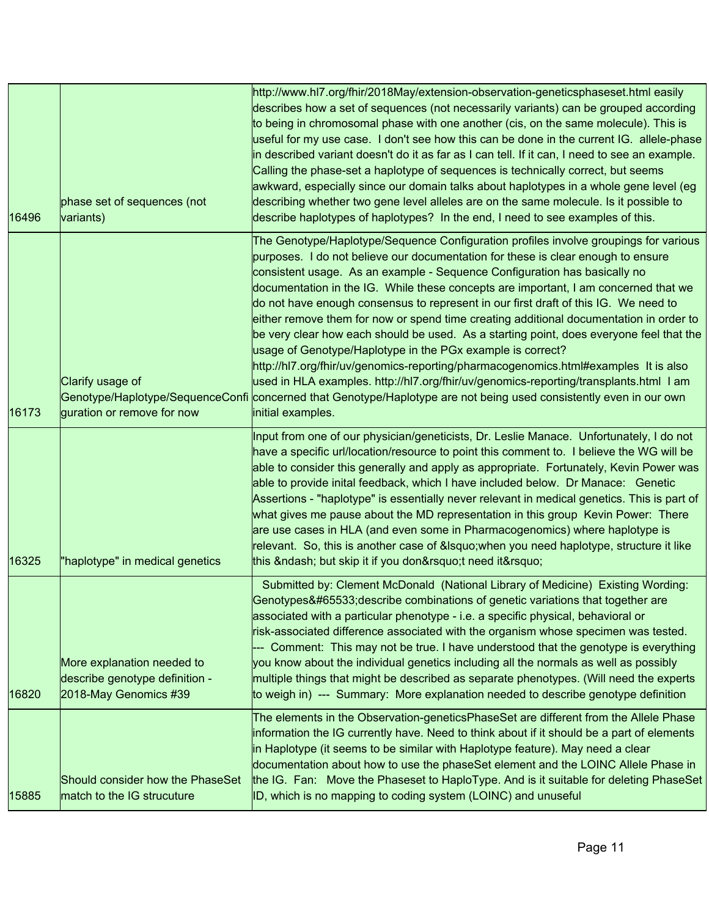| 16496 | phase set of sequences (not<br>variants)                                              | http://www.hl7.org/fhir/2018May/extension-observation-geneticsphaseset.html easily<br>describes how a set of sequences (not necessarily variants) can be grouped according<br>to being in chromosomal phase with one another (cis, on the same molecule). This is<br>useful for my use case. I don't see how this can be done in the current IG. allele-phase<br>in described variant doesn't do it as far as I can tell. If it can, I need to see an example.<br>Calling the phase-set a haplotype of sequences is technically correct, but seems<br>awkward, especially since our domain talks about haplotypes in a whole gene level (eg<br>describing whether two gene level alleles are on the same molecule. Is it possible to<br>describe haplotypes of haplotypes? In the end, I need to see examples of this.                                                                                                                                                                                            |
|-------|---------------------------------------------------------------------------------------|-------------------------------------------------------------------------------------------------------------------------------------------------------------------------------------------------------------------------------------------------------------------------------------------------------------------------------------------------------------------------------------------------------------------------------------------------------------------------------------------------------------------------------------------------------------------------------------------------------------------------------------------------------------------------------------------------------------------------------------------------------------------------------------------------------------------------------------------------------------------------------------------------------------------------------------------------------------------------------------------------------------------|
| 16173 | Clarify usage of<br>guration or remove for now                                        | The Genotype/Haplotype/Sequence Configuration profiles involve groupings for various<br>purposes. I do not believe our documentation for these is clear enough to ensure<br>consistent usage. As an example - Sequence Configuration has basically no<br>documentation in the IG. While these concepts are important, I am concerned that we<br>do not have enough consensus to represent in our first draft of this IG. We need to<br>either remove them for now or spend time creating additional documentation in order to<br>be very clear how each should be used. As a starting point, does everyone feel that the<br>usage of Genotype/Haplotype in the PGx example is correct?<br>http://hl7.org/fhir/uv/genomics-reporting/pharmacogenomics.html#examples It is also<br>used in HLA examples. http://hl7.org/fhir/uv/genomics-reporting/transplants.html I am<br>Genotype/Haplotype/SequenceConfi concerned that Genotype/Haplotype are not being used consistently even in our own<br>initial examples. |
| 16325 | "haplotype" in medical genetics                                                       | Input from one of our physician/geneticists, Dr. Leslie Manace. Unfortunately, I do not<br>have a specific url/location/resource to point this comment to. I believe the WG will be<br>able to consider this generally and apply as appropriate. Fortunately, Kevin Power was<br>able to provide inital feedback, which I have included below. Dr Manace: Genetic<br>Assertions - "haplotype" is essentially never relevant in medical genetics. This is part of<br>what gives me pause about the MD representation in this group Kevin Power: There<br>are use cases in HLA (and even some in Pharmacogenomics) where haplotype is<br>relevant. So, this is another case of ' when you need haplotype, structure it like<br>this – but skip it if you don't need it'                                                                                                                                                                                                                                             |
| 16820 | More explanation needed to<br>describe genotype definition -<br>2018-May Genomics #39 | Submitted by: Clement McDonald (National Library of Medicine) Existing Wording:<br>Genotypes�describe combinations of genetic variations that together are<br>associated with a particular phenotype - i.e. a specific physical, behavioral or<br>risk-associated difference associated with the organism whose specimen was tested.<br>--- Comment: This may not be true. I have understood that the genotype is everything<br>you know about the individual genetics including all the normals as well as possibly<br>multiple things that might be described as separate phenotypes. (Will need the experts<br>to weigh in) --- Summary: More explanation needed to describe genotype definition                                                                                                                                                                                                                                                                                                               |
| 15885 | Should consider how the PhaseSet<br>match to the IG strucuture                        | The elements in the Observation-geneticsPhaseSet are different from the Allele Phase<br>information the IG currently have. Need to think about if it should be a part of elements<br>in Haplotype (it seems to be similar with Haplotype feature). May need a clear<br>documentation about how to use the phaseSet element and the LOINC Allele Phase in<br>the IG. Fan: Move the Phaseset to HaploType. And is it suitable for deleting PhaseSet<br>ID, which is no mapping to coding system (LOINC) and unuseful                                                                                                                                                                                                                                                                                                                                                                                                                                                                                                |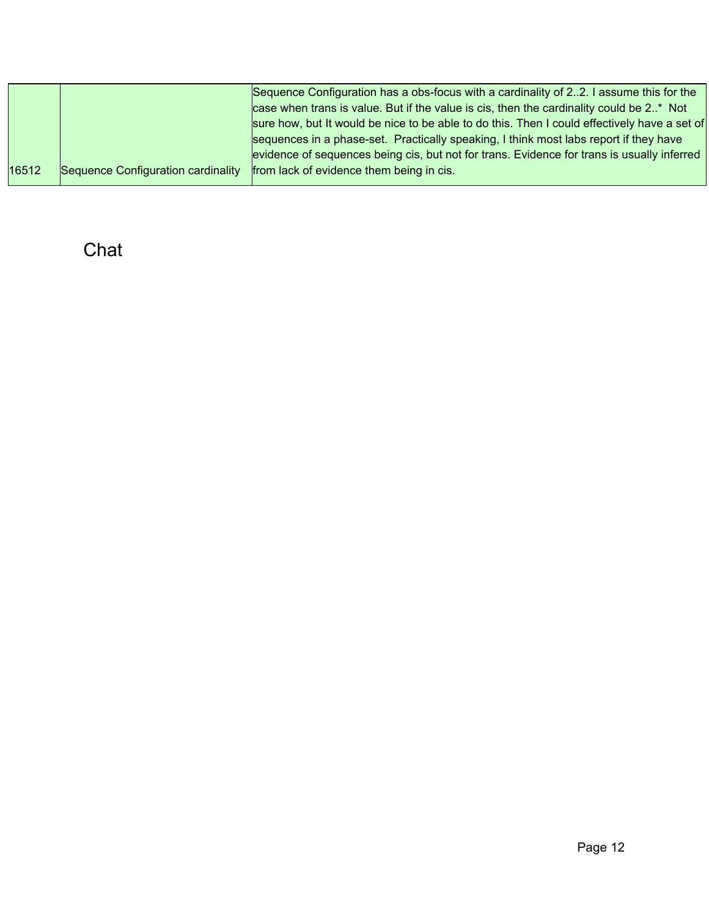|       |                                    | Sequence Configuration has a obs-focus with a cardinality of 22. I assume this for the       |
|-------|------------------------------------|----------------------------------------------------------------------------------------------|
|       |                                    | case when trans is value. But if the value is cis, then the cardinality could be 2* Not      |
|       |                                    | sure how, but It would be nice to be able to do this. Then I could effectively have a set of |
|       |                                    | sequences in a phase-set. Practically speaking, I think most labs report if they have        |
|       |                                    | evidence of sequences being cis, but not for trans. Evidence for trans is usually inferred   |
| 16512 | Sequence Configuration cardinality | from lack of evidence them being in cis.                                                     |

<span id="page-11-0"></span>Chat